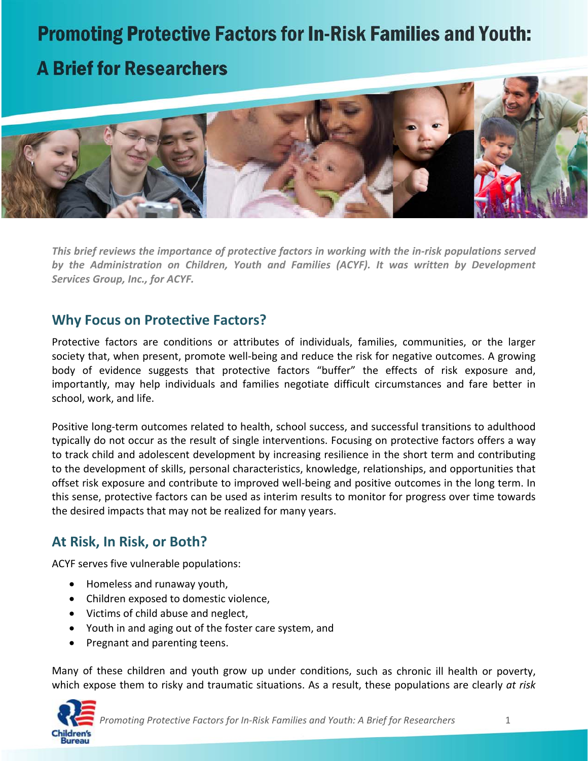# **Promoting Protective Factors for In-Risk Families and Youth:**

# **A Brief for Researchers**



*This brief reviews the importance of protective factors in working with the in‐risk populations served by the Administration on Children, Youth and Families (ACYF). It was written by Development Services Group, Inc., for ACYF.*

## **Why Focus on Protective Factors?**

Protective factors are conditions or attributes of individuals, families, communities, or the larger society that, when present, promote well-being and reduce the risk for negative outcomes. A growing body of evidence suggests that protective factors "buffer" the effects of risk exposure and, importantly, may help individuals and families negotiate difficult circumstances and fare better in school, work, and life.

Positive long‐term outcomes related to health, school success, and successful transitions to adulthood typically do not occur as the result of single interventions. Focusing on protective factors offers a way to track child and adolescent development by increasing resilience in the short term and contributing to the development of skills, personal characteristics, knowledge, relationships, and opportunities that offset risk exposure and contribute to improved well‐being and positive outcomes in the long term. In this sense, protective factors can be used as interim results to monitor for progress over time towards the desired impacts that may not be realized for many years.

## **At Risk, In Risk, or Both?**

ACYF serves five vulnerable populations:

- Homeless and runaway youth,
- Children exposed to domestic violence,
- Victims of child abuse and neglect,
- Youth in and aging out of the foster care system, and
- Pregnant and parenting teens.

Many of these children and youth grow up under conditions, such as chronic ill health or poverty, which expose them to risky and traumatic situations. As a result, these populations are clearly *at risk*



Promoting Protective Factors for In-Risk Families and Youth: A Brief for Researchers 1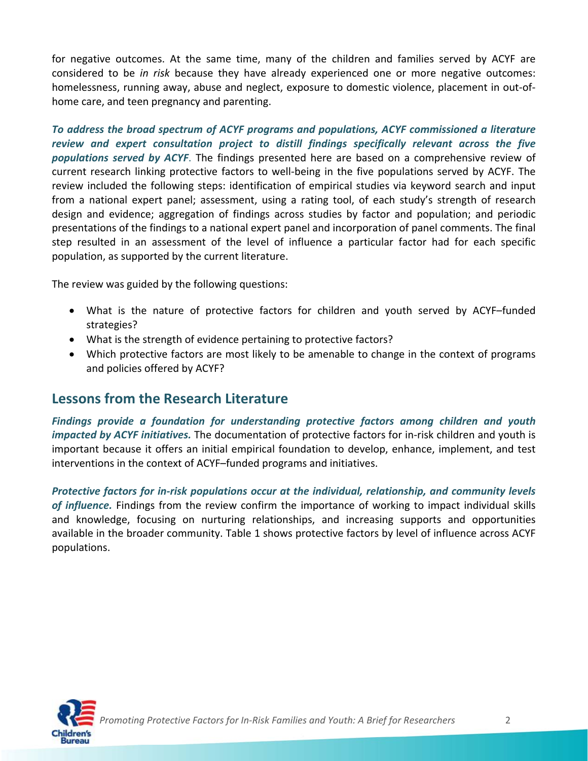for negative outcomes. At the same time, many of the children and families served by ACYF are considered to be *in risk* because they have already experienced one or more negative outcomes: homelessness, running away, abuse and neglect, exposure to domestic violence, placement in out‐of‐ home care, and teen pregnancy and parenting.

*To address the broad spectrum of ACYF programs and populations, ACYF commissioned a literature review and expert consultation project to distill findings specifically relevant across the five populations served by ACYF*. The findings presented here are based on a comprehensive review of current research linking protective factors to well‐being in the five populations served by ACYF. The review included the following steps: identification of empirical studies via keyword search and input from a national expert panel; assessment, using a rating tool, of each study's strength of research design and evidence; aggregation of findings across studies by factor and population; and periodic presentations of the findings to a national expert panel and incorporation of panel comments. The final step resulted in an assessment of the level of influence a particular factor had for each specific population, as supported by the current literature.

The review was guided by the following questions:

- What is the nature of protective factors for children and youth served by ACYF–funded strategies?
- What is the strength of evidence pertaining to protective factors?
- Which protective factors are most likely to be amenable to change in the context of programs and policies offered by ACYF?

### **Lessons from the Research Literature**

*Findings provide a foundation for understanding protective factors among children and youth impacted by ACYF initiatives.* The documentation of protective factors for in‐risk children and youth is important because it offers an initial empirical foundation to develop, enhance, implement, and test interventions in the context of ACYF–funded programs and initiatives.

*Protective factors for in‐risk populations occur at the individual, relationship, and community levels of influence.* Findings from the review confirm the importance of working to impact individual skills and knowledge, focusing on nurturing relationships, and increasing supports and opportunities available in the broader community. Table 1 shows protective factors by level of influence across ACYF populations.

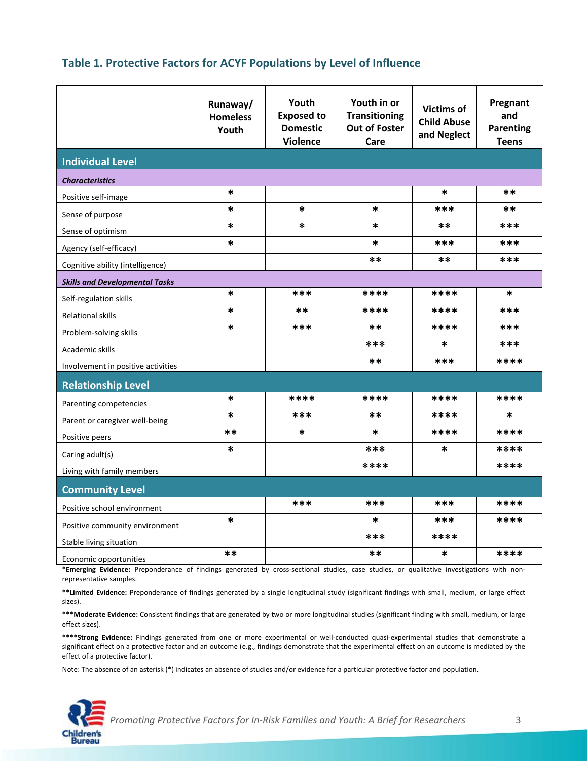### **Table 1. Protective Factors for ACYF Populations by Level of Influence**

|                                       | Runaway/<br><b>Homeless</b><br>Youth | Youth<br><b>Exposed to</b><br><b>Domestic</b><br><b>Violence</b> | Youth in or<br><b>Transitioning</b><br><b>Out of Foster</b><br>Care | <b>Victims of</b><br><b>Child Abuse</b><br>and Neglect | Pregnant<br>and<br><b>Parenting</b><br><b>Teens</b> |
|---------------------------------------|--------------------------------------|------------------------------------------------------------------|---------------------------------------------------------------------|--------------------------------------------------------|-----------------------------------------------------|
| <b>Individual Level</b>               |                                      |                                                                  |                                                                     |                                                        |                                                     |
| <b>Characteristics</b>                |                                      |                                                                  |                                                                     |                                                        |                                                     |
| Positive self-image                   | $\ast$                               |                                                                  |                                                                     | $\ast$                                                 | $***$                                               |
| Sense of purpose                      | $\ast$                               | $\ast$                                                           | $\ast$                                                              | ***                                                    | $***$                                               |
| Sense of optimism                     | $\ast$                               | $\ast$                                                           | $\ast$                                                              | **                                                     | ***                                                 |
| Agency (self-efficacy)                | $\ast$                               |                                                                  | $\ast$                                                              | ***                                                    | ***                                                 |
| Cognitive ability (intelligence)      |                                      |                                                                  | **                                                                  | **                                                     | ***                                                 |
| <b>Skills and Developmental Tasks</b> |                                      |                                                                  |                                                                     |                                                        |                                                     |
| Self-regulation skills                | $\ast$                               | ***                                                              | ****                                                                | ****                                                   | $\ast$                                              |
| <b>Relational skills</b>              | $\ast$                               | $***$                                                            | ****                                                                | ****                                                   | ***                                                 |
| Problem-solving skills                | $\ast$                               | ***                                                              | **                                                                  | ****                                                   | ***                                                 |
| Academic skills                       |                                      |                                                                  | ***                                                                 | $\ast$                                                 | ***                                                 |
| Involvement in positive activities    |                                      |                                                                  | **                                                                  | ***                                                    | ****                                                |
| <b>Relationship Level</b>             |                                      |                                                                  |                                                                     |                                                        |                                                     |
| Parenting competencies                | $\ast$                               | ****                                                             | ****                                                                | ****                                                   | ****                                                |
| Parent or caregiver well-being        | $\ast$                               | ***                                                              | **                                                                  | ****                                                   | *                                                   |
| Positive peers                        | **                                   | $\ast$                                                           | *                                                                   | ****                                                   | ****                                                |
| Caring adult(s)                       | $\ast$                               |                                                                  | ***                                                                 | $\ast$                                                 | ****                                                |
| Living with family members            |                                      |                                                                  | ****                                                                |                                                        | ****                                                |
|                                       |                                      |                                                                  |                                                                     |                                                        |                                                     |
| <b>Community Level</b>                |                                      | ***                                                              | ***                                                                 | ***                                                    | ****                                                |
| Positive school environment           | $\ast$                               |                                                                  | $\ast$                                                              | ***                                                    | ****                                                |
| Positive community environment        |                                      |                                                                  | ***                                                                 | ****                                                   |                                                     |
| Stable living situation               | **                                   |                                                                  | **                                                                  | $\ast$                                                 | ****                                                |
| Economic opportunities                |                                      |                                                                  |                                                                     |                                                        |                                                     |

\*Emerging Evidence: Preponderance of findings generated by cross-sectional studies, case studies, or qualitative investigations with nonrepresentative samples.

**\*\*Limited Evidence:** Preponderance of findings generated by a single longitudinal study (significant findings with small, medium, or large effect sizes).

**\*\*\*Moderate Evidence:** Consistent findings that are generated by two or more longitudinal studies (significant finding with small, medium, or large effect sizes).

**\*\*\*\*Strong Evidence:** Findings generated from one or more experimental or well‐conducted quasi‐experimental studies that demonstrate a significant effect on a protective factor and an outcome (e.g., findings demonstrate that the experimental effect on an outcome is mediated by the effect of a protective factor).

Note: The absence of an asterisk (\*) indicates an absence of studies and/or evidence for a particular protective factor and population.



Promoting Protective Factors for In-Risk Families and Youth: A Brief for Researchers 3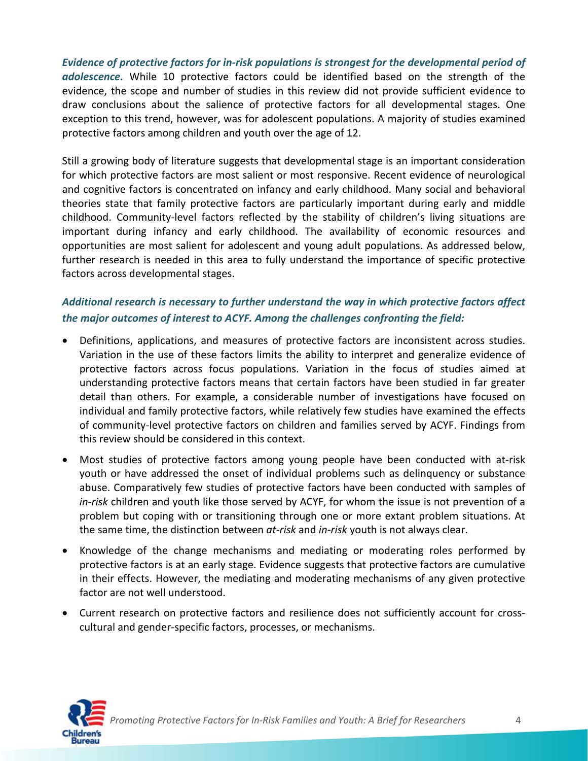*Evidence of protective factors for in‐risk populations is strongest for the developmental period of adolescence.* While 10 protective factors could be identified based on the strength of the evidence, the scope and number of studies in this review did not provide sufficient evidence to draw conclusions about the salience of protective factors for all developmental stages. One exception to this trend, however, was for adolescent populations. A majority of studies examined protective factors among children and youth over the age of 12.

Still a growing body of literature suggests that developmental stage is an important consideration for which protective factors are most salient or most responsive. Recent evidence of neurological and cognitive factors is concentrated on infancy and early childhood. Many social and behavioral theories state that family protective factors are particularly important during early and middle childhood. Community‐level factors reflected by the stability of children's living situations are important during infancy and early childhood. The availability of economic resources and opportunities are most salient for adolescent and young adult populations. As addressed below, further research is needed in this area to fully understand the importance of specific protective factors across developmental stages.

### *Additional research is necessary to further understand the way in which protective factors affect the major outcomes of interest to ACYF. Among the challenges confronting the field:*

- Definitions, applications, and measures of protective factors are inconsistent across studies. Variation in the use of these factors limits the ability to interpret and generalize evidence of protective factors across focus populations. Variation in the focus of studies aimed at understanding protective factors means that certain factors have been studied in far greater detail than others. For example, a considerable number of investigations have focused on individual and family protective factors, while relatively few studies have examined the effects of community‐level protective factors on children and families served by ACYF. Findings from this review should be considered in this context.
- Most studies of protective factors among young people have been conducted with at-risk youth or have addressed the onset of individual problems such as delinquency or substance abuse. Comparatively few studies of protective factors have been conducted with samples of *in‐risk* children and youth like those served by ACYF, for whom the issue is not prevention of a problem but coping with or transitioning through one or more extant problem situations. At the same time, the distinction between *at‐risk* and *in‐risk* youth is not always clear.
- Knowledge of the change mechanisms and mediating or moderating roles performed by protective factors is at an early stage. Evidence suggests that protective factors are cumulative in their effects. However, the mediating and moderating mechanisms of any given protective factor are not well understood.
- Current research on protective factors and resilience does not sufficiently account for cross‐ cultural and gender‐specific factors, processes, or mechanisms.

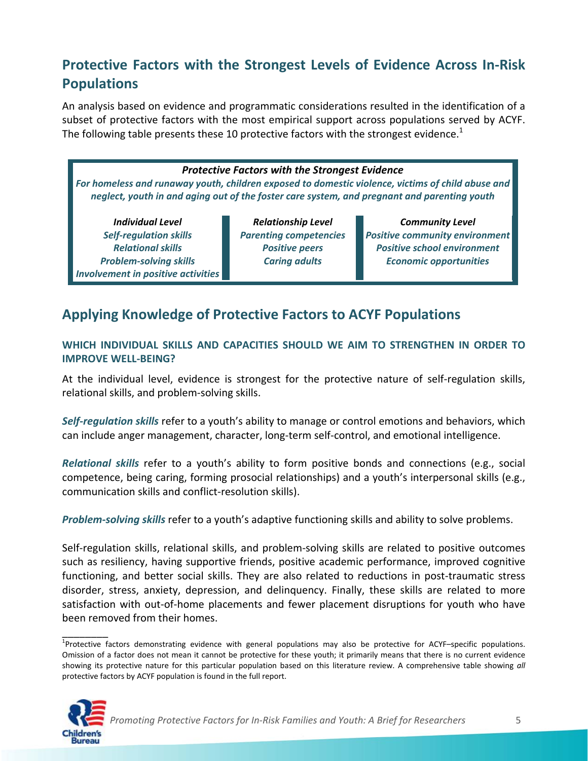# **Protective Factors with the Strongest Levels of Evidence Across In‐Risk Populations**

An analysis based on evidence and programmatic considerations resulted in the identification of a subset of protective factors with the most empirical support across populations served by ACYF. The following table presents these 10 protective factors with the strongest evidence.<sup>1</sup>

#### *Protective Factors with the Strongest Evidence*

*For homeless and runaway youth, children exposed to domestic violence, victims of child abuse and neglect, youth in and aging out of the foster care system, and pregnant and parenting youth*

*Individual Level Self‐regulation skills Relational skills Problem‐solving skills Involvement in positive activities*

*Relationship Level Parenting competencies Positive peers Caring adults*

*Community Level Positive community environment Positive school environment Economic opportunities*

# **Applying Knowledge of Protective Factors to ACYF Populations**

### **WHICH INDIVIDUAL SKILLS AND CAPACITIES SHOULD WE AIM TO STRENGTHEN IN ORDER TO IMPROVE WELL‐BEING?**

At the individual level, evidence is strongest for the protective nature of self‐regulation skills, relational skills, and problem‐solving skills.

*Self‐regulation skills* refer to a youth's ability to manage or control emotions and behaviors, which can include anger management, character, long‐term self‐control, and emotional intelligence.

*Relational skills* refer to a youth's ability to form positive bonds and connections (e.g., social competence, being caring, forming prosocial relationships) and a youth's interpersonal skills (e.g., communication skills and conflict‐resolution skills).

*Problem‐solving skills* refer to a youth's adaptive functioning skills and ability to solve problems.

Self‐regulation skills, relational skills, and problem‐solving skills are related to positive outcomes such as resiliency, having supportive friends, positive academic performance, improved cognitive functioning, and better social skills. They are also related to reductions in post-traumatic stress disorder, stress, anxiety, depression, and delinquency. Finally, these skills are related to more satisfaction with out-of-home placements and fewer placement disruptions for youth who have been removed from their homes.

<sup>&</sup>lt;sup>1</sup>Protective factors demonstrating evidence with general populations may also be protective for ACYF–specific populations. Omission of a factor does not mean it cannot be protective for these youth; it primarily means that there is no current evidence showing its protective nature for this particular population based on this literature review. A comprehensive table showing *all* protective factors by ACYF population is found in the full report.



\_\_\_\_\_\_\_\_

Promoting Protective Factors for In-Risk Families and Youth: A Brief for Researchers 5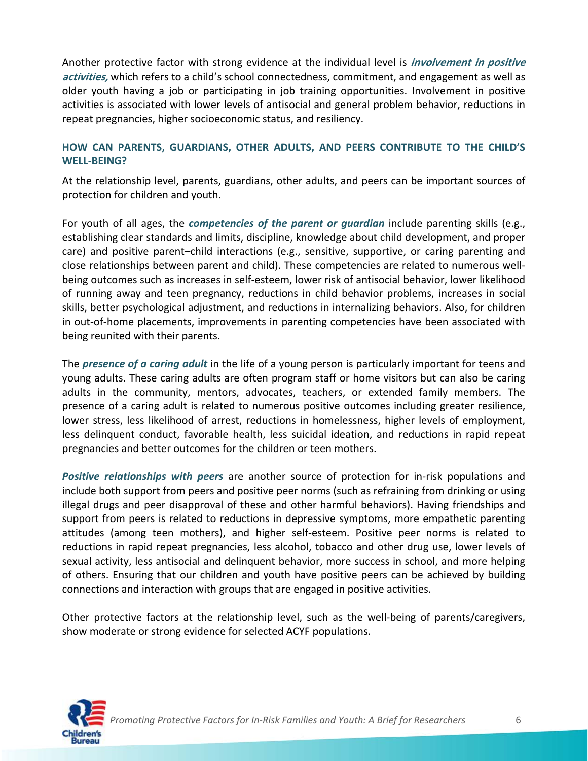Another protective factor with strong evidence at the individual level is **involvement in positive activities,** which refers to a child's school connectedness, commitment, and engagement as well as older youth having a job or participating in job training opportunities. Involvement in positive activities is associated with lower levels of antisocial and general problem behavior, reductions in repeat pregnancies, higher socioeconomic status, and resiliency.

### **HOW CAN PARENTS, GUARDIANS, OTHER ADULTS, AND PEERS CONTRIBUTE TO THE CHILD'S WELL‐BEING?**

At the relationship level, parents, guardians, other adults, and peers can be important sources of protection for children and youth.

For youth of all ages, the *competencies of the parent or guardian* include parenting skills (e.g., establishing clear standards and limits, discipline, knowledge about child development, and proper care) and positive parent–child interactions (e.g., sensitive, supportive, or caring parenting and close relationships between parent and child). These competencies are related to numerous well‐ being outcomes such as increases in self‐esteem, lower risk of antisocial behavior, lower likelihood of running away and teen pregnancy, reductions in child behavior problems, increases in social skills, better psychological adjustment, and reductions in internalizing behaviors. Also, for children in out-of-home placements, improvements in parenting competencies have been associated with being reunited with their parents.

The *presence of a caring adult* in the life of a young person is particularly important for teens and young adults. These caring adults are often program staff or home visitors but can also be caring adults in the community, mentors, advocates, teachers, or extended family members. The presence of a caring adult is related to numerous positive outcomes including greater resilience, lower stress, less likelihood of arrest, reductions in homelessness, higher levels of employment, less delinquent conduct, favorable health, less suicidal ideation, and reductions in rapid repeat pregnancies and better outcomes for the children or teen mothers.

*Positive relationships with peers* are another source of protection for in‐risk populations and include both support from peers and positive peer norms (such as refraining from drinking or using illegal drugs and peer disapproval of these and other harmful behaviors). Having friendships and support from peers is related to reductions in depressive symptoms, more empathetic parenting attitudes (among teen mothers), and higher self‐esteem. Positive peer norms is related to reductions in rapid repeat pregnancies, less alcohol, tobacco and other drug use, lower levels of sexual activity, less antisocial and delinquent behavior, more success in school, and more helping of others. Ensuring that our children and youth have positive peers can be achieved by building connections and interaction with groups that are engaged in positive activities.

Other protective factors at the relationship level, such as the well-being of parents/caregivers, show moderate or strong evidence for selected ACYF populations.

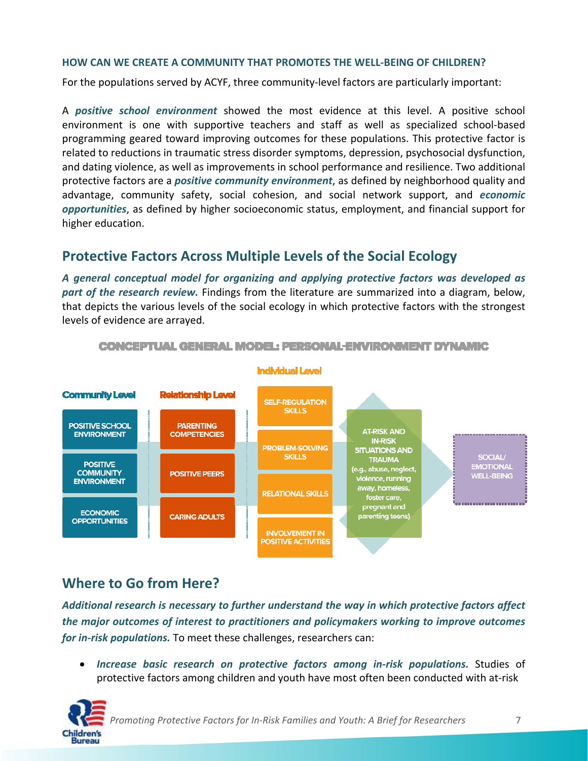#### **HOW CAN WE CREATE A COMMUNITY THAT PROMOTES THE WELL‐BEING OF CHILDREN?**

For the populations served by ACYF, three community‐level factors are particularly important:

A *positive school environment* showed the most evidence at this level. A positive school environment is one with supportive teachers and staff as well as specialized school‐based programming geared toward improving outcomes for these populations. This protective factor is related to reductions in traumatic stress disorder symptoms, depression, psychosocial dysfunction, and dating violence, as well as improvements in school performance and resilience. Two additional protective factors are a *positive community environment*, as defined by neighborhood quality and advantage, community safety, social cohesion, and social network support, and *economic opportunities*, as defined by higher socioeconomic status, employment, and financial support for higher education.

### **Protective Factors Across Multiple Levels of the Social Ecology**

*A general conceptual model for organizing and applying protective factors was developed as part of the research review.* Findings from the literature are summarized into a diagram, below, that depicts the various levels of the social ecology in which protective factors with the strongest levels of evidence are arrayed.



### **Where to Go from Here?**

*Additional research is necessary to further understand the way in which protective factors affect the major outcomes of interest to practitioners and policymakers working to improve outcomes for in‐risk populations.* To meet these challenges, researchers can:

 *Increase basic research on protective factors among in‐risk populations.* Studies of protective factors among children and youth have most often been conducted with at‐risk